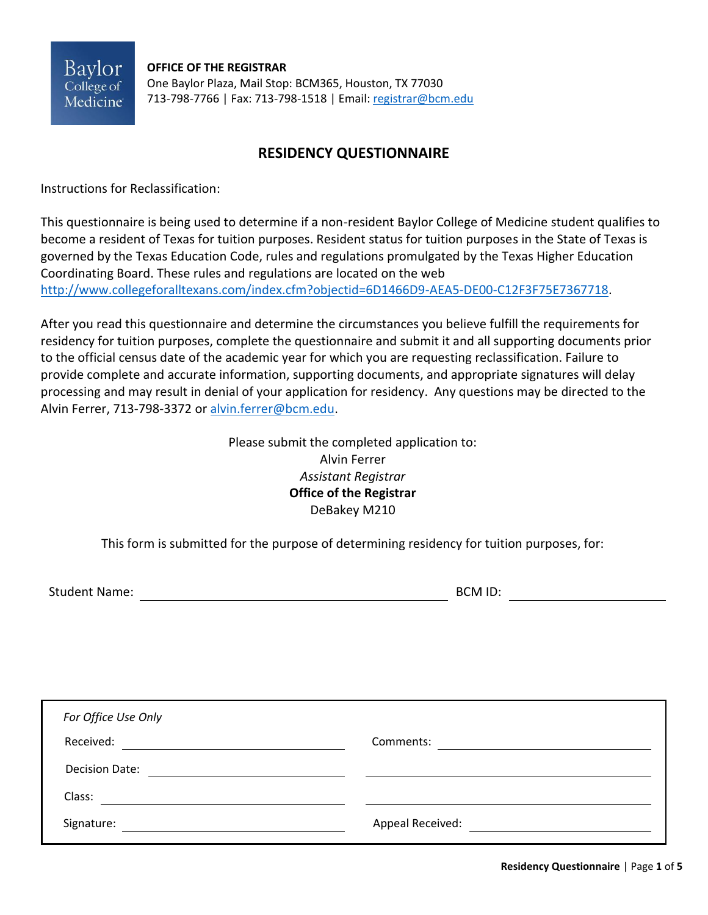Baylor College of Medicine

**OFFICE OF THE REGISTRAR** One Baylor Plaza, Mail Stop: BCM365, Houston, TX 77030 713-798-7766 | Fax: 713-798-1518 | Email[: registrar@bcm.edu](mailto:registrar@bcm.edu)

# **RESIDENCY QUESTIONNAIRE**

Instructions for Reclassification:

This questionnaire is being used to determine if a non-resident Baylor College of Medicine student qualifies to become a resident of Texas for tuition purposes. Resident status for tuition purposes in the State of Texas is governed by the Texas Education Code, rules and regulations promulgated by the Texas Higher Education Coordinating Board. These rules and regulations are located on the web [http://www.collegeforalltexans.com/index.cfm?objectid=6D1466D9-AEA5-DE00-C12F3F75E7367718.](http://www.collegeforalltexans.com/index.cfm?objectid=6D1466D9-AEA5-DE00-C12F3F75E7367718)

After you read this questionnaire and determine the circumstances you believe fulfill the requirements for residency for tuition purposes, complete the questionnaire and submit it and all supporting documents prior to the official census date of the academic year for which you are requesting reclassification. Failure to provide complete and accurate information, supporting documents, and appropriate signatures will delay processing and may result in denial of your application for residency. Any questions may be directed to the Alvin Ferrer, 713-798-3372 or [alvin.ferrer@bcm.edu.](mailto:alvin.ferrer@bcm.edu)

> Please submit the completed application to: Alvin Ferrer *Assistant Registrar* **Office of the Registrar** DeBakey M210

This form is submitted for the purpose of determining residency for tuition purposes, for:

Student Name: BCM ID:

| For Office Use Only   |                  |
|-----------------------|------------------|
| Received:             | Comments:        |
| <b>Decision Date:</b> |                  |
| Class:                |                  |
| Signature:            | Appeal Received: |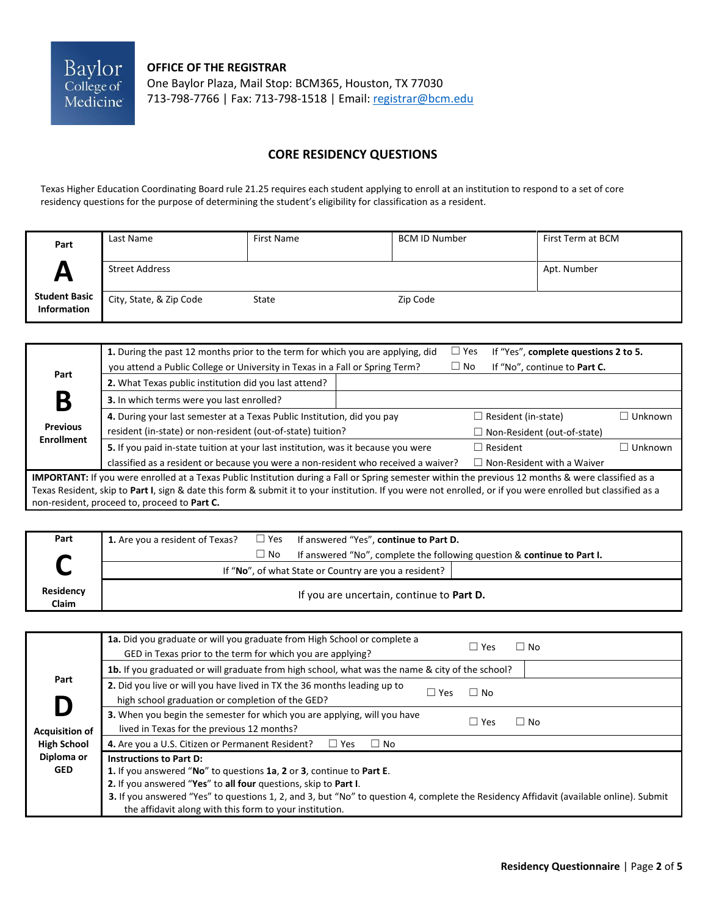

**OFFICE OF THE REGISTRAR**

One Baylor Plaza, Mail Stop: BCM365, Houston, TX 77030 713-798-7766 | Fax: 713-798-1518 | Email[: registrar@bcm.edu](mailto:registrar@bcm.edu)

### **CORE RESIDENCY QUESTIONS**

Texas Higher Education Coordinating Board rule 21.25 requires each student applying to enroll at an institution to respond to a set of core residency questions for the purpose of determining the student's eligibility for classification as a resident.

| Part                                | Last Name               | First Name | <b>BCM ID Number</b> | First Term at BCM |
|-------------------------------------|-------------------------|------------|----------------------|-------------------|
| $\boldsymbol{\mathsf{A}}$           | <b>Street Address</b>   |            |                      | Apt. Number       |
| <b>Student Basic</b><br>Information | City, State, & Zip Code | State      | Zip Code             |                   |

|                                                                                                     | 1. During the past 12 months prior to the term for which you are applying, did                                                                               |  | $\Box$ Yes | If "Yes", complete questions 2 to 5. |           |
|-----------------------------------------------------------------------------------------------------|--------------------------------------------------------------------------------------------------------------------------------------------------------------|--|------------|--------------------------------------|-----------|
| Part                                                                                                | you attend a Public College or University in Texas in a Fall or Spring Term?                                                                                 |  | $\Box$ No  | If "No", continue to Part C.         |           |
|                                                                                                     | 2. What Texas public institution did you last attend?                                                                                                        |  |            |                                      |           |
| B                                                                                                   | 3. In which terms were you last enrolled?                                                                                                                    |  |            |                                      |           |
|                                                                                                     | 4. During your last semester at a Texas Public Institution, did you pay                                                                                      |  |            | $\Box$ Resident (in-state)           | ∃ Unknown |
| <b>Previous</b><br>resident (in-state) or non-resident (out-of-state) tuition?<br><b>Enrollment</b> |                                                                                                                                                              |  |            | $\Box$ Non-Resident (out-of-state)   |           |
|                                                                                                     | 5. If you paid in-state tuition at your last institution, was it because you were                                                                            |  |            | $\Box$ Resident                      | ∃ Unknown |
|                                                                                                     | classified as a resident or because you were a non-resident who received a waiver?                                                                           |  |            | $\Box$ Non-Resident with a Waiver    |           |
|                                                                                                     | IMPORTANT: If you were enrolled at a Texas Public Institution during a Fall or Spring semester within the previous 12 months & were classified as a          |  |            |                                      |           |
|                                                                                                     | Texas Resident, skip to Part I, sign & date this form & submit it to your institution. If you were not enrolled, or if you were enrolled but classified as a |  |            |                                      |           |
| non-resident, proceed to, proceed to Part C.                                                        |                                                                                                                                                              |  |            |                                      |           |

| Part                      |                                                       |              | <b>1.</b> Are you a resident of Texas? $\Box$ Yes If answered "Yes", continue to Part D. |
|---------------------------|-------------------------------------------------------|--------------|------------------------------------------------------------------------------------------|
|                           |                                                       | $\square$ No | If answered "No", complete the following question & continue to Part I.                  |
| ◡                         | If "No", of what State or Country are you a resident? |              |                                                                                          |
| <b>Residency</b><br>Claim | If you are uncertain, continue to Part D.             |              |                                                                                          |

|                          | 1a. Did you graduate or will you graduate from High School or complete a<br>$\Box$ Yes<br>$\Box$ No<br>GED in Texas prior to the term for which you are applying?                                                                                                                                                                                                              |
|--------------------------|--------------------------------------------------------------------------------------------------------------------------------------------------------------------------------------------------------------------------------------------------------------------------------------------------------------------------------------------------------------------------------|
|                          | 1b. If you graduated or will graduate from high school, what was the name & city of the school?                                                                                                                                                                                                                                                                                |
| Part<br>D                | 2. Did you live or will you have lived in TX the 36 months leading up to<br>$\Box$ No<br>$\Box$ Yes<br>high school graduation or completion of the GED?                                                                                                                                                                                                                        |
| <b>Acquisition of</b>    | 3. When you begin the semester for which you are applying, will you have<br>$\Box$ Yes<br>$\Box$ No<br>lived in Texas for the previous 12 months?                                                                                                                                                                                                                              |
| <b>High School</b>       | 4. Are you a U.S. Citizen or Permanent Resident?<br>$\Box$ Yes<br>$\Box$ No                                                                                                                                                                                                                                                                                                    |
| Diploma or<br><b>GED</b> | <b>Instructions to Part D:</b><br>1. If you answered "No" to questions 1a, 2 or 3, continue to Part E.<br>2. If you answered "Yes" to all four questions, skip to Part I.<br>3. If you answered "Yes" to questions 1, 2, and 3, but "No" to question 4, complete the Residency Affidavit (available online). Submit<br>the affidavit along with this form to your institution. |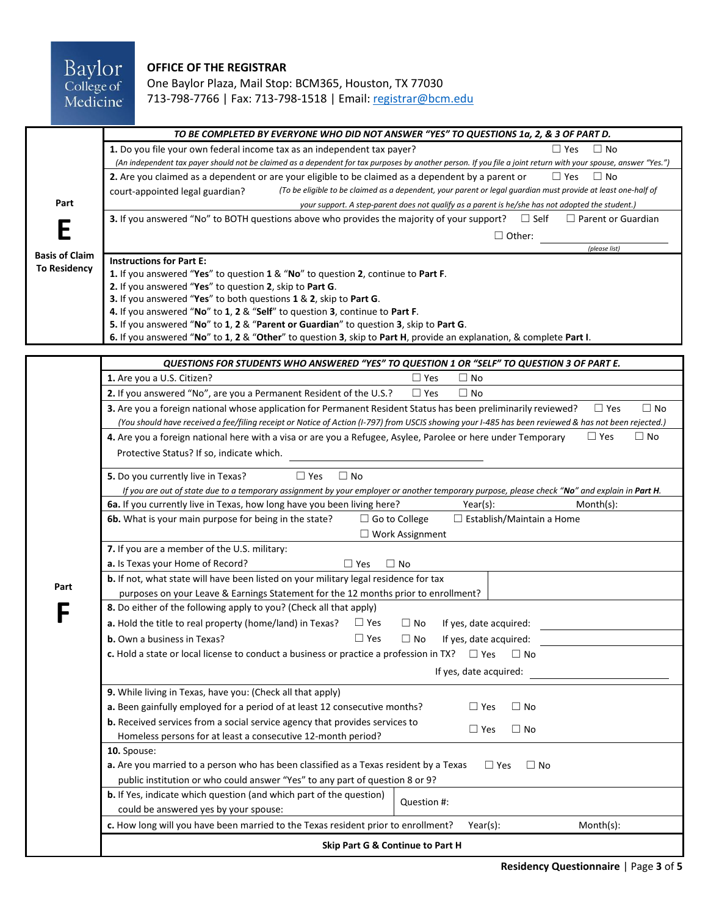## Baylor<br>College of<br>Medicine **OFFICE OF THE REGISTRAR** One Baylor Plaza, Mail Stop: BCM365, Houston, TX 77030 713-798-7766 | Fax: 713-798-1518 | Email[: registrar@bcm.edu](mailto:registrar@bcm.edu)

|                                              | TO BE COMPLETED BY EVERYONE WHO DID NOT ANSWER "YES" TO QUESTIONS 1a, 2, & 3 OF PART D.                                                                                                                                                                                                                                                                                                                                                                                                                                                            |  |  |  |  |  |  |
|----------------------------------------------|----------------------------------------------------------------------------------------------------------------------------------------------------------------------------------------------------------------------------------------------------------------------------------------------------------------------------------------------------------------------------------------------------------------------------------------------------------------------------------------------------------------------------------------------------|--|--|--|--|--|--|
|                                              | 1. Do you file your own federal income tax as an independent tax payer?<br>$\Box$ No<br>$\Box$ Yes<br>(An independent tax payer should not be claimed as a dependent for tax purposes by another person. If you file a joint return with your spouse, answer "Yes.")                                                                                                                                                                                                                                                                               |  |  |  |  |  |  |
| Part                                         | $\Box$ Yes<br>$\Box$ No<br>2. Are you claimed as a dependent or are your eligible to be claimed as a dependent by a parent or<br>(To be eligible to be claimed as a dependent, your parent or legal guardian must provide at least one-half of<br>court-appointed legal guardian?<br>your support. A step-parent does not qualify as a parent is he/she has not adopted the student.)                                                                                                                                                              |  |  |  |  |  |  |
|                                              | $\Box$ Self<br>$\Box$ Parent or Guardian<br><b>3.</b> If you answered "No" to BOTH questions above who provides the majority of your support?<br>$\Box$ Other:<br>(please list)                                                                                                                                                                                                                                                                                                                                                                    |  |  |  |  |  |  |
| <b>Basis of Claim</b><br><b>To Residency</b> | <b>Instructions for Part E:</b><br>1. If you answered "Yes" to question 1 & "No" to question 2, continue to Part F.<br>2. If you answered "Yes" to question 2, skip to Part G.<br>3. If you answered "Yes" to both questions 1 & 2, skip to Part G.<br>4. If you answered "No" to 1, 2 & "Self" to question 3, continue to Part F.<br>5. If you answered "No" to 1, 2 & "Parent or Guardian" to question 3, skip to Part G.<br>6. If you answered "No" to 1, 2 & "Other" to question 3, skip to Part H, provide an explanation, & complete Part I. |  |  |  |  |  |  |

|                                                                                                                                                                                                          | QUESTIONS FOR STUDENTS WHO ANSWERED "YES" TO QUESTION 1 OR "SELF" TO QUESTION 3 OF PART E.                                                                                                                                                                                                        |  |  |  |
|----------------------------------------------------------------------------------------------------------------------------------------------------------------------------------------------------------|---------------------------------------------------------------------------------------------------------------------------------------------------------------------------------------------------------------------------------------------------------------------------------------------------|--|--|--|
|                                                                                                                                                                                                          | 1. Are you a U.S. Citizen?<br>$\Box$ Yes<br>$\Box$ No                                                                                                                                                                                                                                             |  |  |  |
|                                                                                                                                                                                                          | 2. If you answered "No", are you a Permanent Resident of the U.S.?<br>$\Box$ Yes<br>$\Box$ No                                                                                                                                                                                                     |  |  |  |
|                                                                                                                                                                                                          | 3. Are you a foreign national whose application for Permanent Resident Status has been preliminarily reviewed?<br>$\Box$ No<br>$\Box$ Yes<br>(You should have received a fee/filing receipt or Notice of Action (I-797) from USCIS showing your I-485 has been reviewed & has not been rejected.) |  |  |  |
|                                                                                                                                                                                                          | 4. Are you a foreign national here with a visa or are you a Refugee, Asylee, Parolee or here under Temporary<br>$\Box$ Yes<br>$\Box$ No<br>Protective Status? If so, indicate which.                                                                                                              |  |  |  |
|                                                                                                                                                                                                          | $\Box$ No<br>5. Do you currently live in Texas?<br>$\Box$ Yes<br>If you are out of state due to a temporary assignment by your employer or another temporary purpose, please check "No" and explain in Part H.                                                                                    |  |  |  |
|                                                                                                                                                                                                          | 6a. If you currently live in Texas, how long have you been living here?<br>$Month(s)$ :<br>Year(s):                                                                                                                                                                                               |  |  |  |
|                                                                                                                                                                                                          | 6b. What is your main purpose for being in the state?<br>$\Box$ Establish/Maintain a Home<br>$\Box$ Go to College<br>$\Box$ Work Assignment                                                                                                                                                       |  |  |  |
|                                                                                                                                                                                                          | 7. If you are a member of the U.S. military:                                                                                                                                                                                                                                                      |  |  |  |
|                                                                                                                                                                                                          | a. Is Texas your Home of Record?<br>$\Box$ Yes<br>$\Box$ No                                                                                                                                                                                                                                       |  |  |  |
| Part                                                                                                                                                                                                     | b. If not, what state will have been listed on your military legal residence for tax<br>purposes on your Leave & Earnings Statement for the 12 months prior to enrollment?                                                                                                                        |  |  |  |
|                                                                                                                                                                                                          | 8. Do either of the following apply to you? (Check all that apply)                                                                                                                                                                                                                                |  |  |  |
| $\Box$ Yes<br>a. Hold the title to real property (home/land) in Texas?<br>If yes, date acquired:<br>$\Box$ No<br>$\Box$ Yes<br>$\Box$ No<br><b>b.</b> Own a business in Texas?<br>If yes, date acquired: |                                                                                                                                                                                                                                                                                                   |  |  |  |
|                                                                                                                                                                                                          |                                                                                                                                                                                                                                                                                                   |  |  |  |
|                                                                                                                                                                                                          | If yes, date acquired:                                                                                                                                                                                                                                                                            |  |  |  |
|                                                                                                                                                                                                          | 9. While living in Texas, have you: (Check all that apply)                                                                                                                                                                                                                                        |  |  |  |
|                                                                                                                                                                                                          | a. Been gainfully employed for a period of at least 12 consecutive months?<br>$\square$ Yes<br>$\Box$ No                                                                                                                                                                                          |  |  |  |
|                                                                                                                                                                                                          | b. Received services from a social service agency that provides services to<br>$\Box$ Yes<br>$\Box$ No<br>Homeless persons for at least a consecutive 12-month period?                                                                                                                            |  |  |  |
|                                                                                                                                                                                                          | 10. Spouse:                                                                                                                                                                                                                                                                                       |  |  |  |
|                                                                                                                                                                                                          | a. Are you married to a person who has been classified as a Texas resident by a Texas<br>$\Box$ Yes<br>$\Box$ No<br>public institution or who could answer "Yes" to any part of question 8 or 9?                                                                                                  |  |  |  |
|                                                                                                                                                                                                          | b. If Yes, indicate which question (and which part of the question)<br>Question #:<br>could be answered yes by your spouse:                                                                                                                                                                       |  |  |  |
|                                                                                                                                                                                                          | c. How long will you have been married to the Texas resident prior to enrollment?<br>Month(s):<br>Year(s):                                                                                                                                                                                        |  |  |  |
|                                                                                                                                                                                                          | Skip Part G & Continue to Part H                                                                                                                                                                                                                                                                  |  |  |  |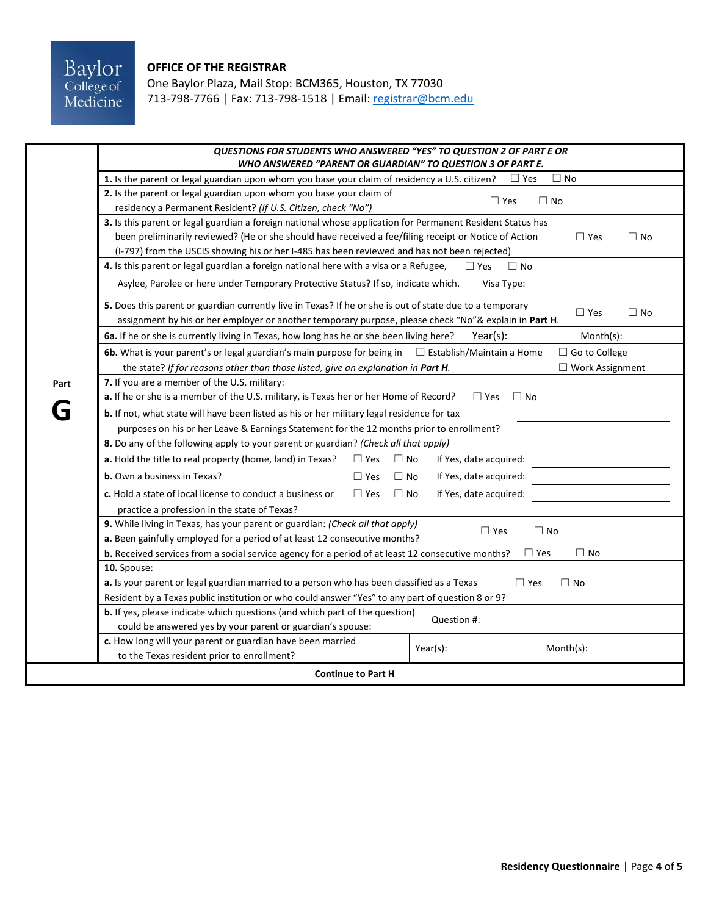#### **OFFICE OF THE REGISTRAR**

One Baylor Plaza, Mail Stop: BCM365, Houston, TX 77030 713-798-7766 | Fax: 713-798-1518 | Email[: registrar@bcm.edu](mailto:registrar@bcm.edu)

|                                                                                                                                                    | QUESTIONS FOR STUDENTS WHO ANSWERED "YES" TO QUESTION 2 OF PART E OR<br>WHO ANSWERED "PARENT OR GUARDIAN" TO QUESTION 3 OF PART E. |                                                     |  |  |  |
|----------------------------------------------------------------------------------------------------------------------------------------------------|------------------------------------------------------------------------------------------------------------------------------------|-----------------------------------------------------|--|--|--|
|                                                                                                                                                    | 1. Is the parent or legal guardian upon whom you base your claim of residency a U.S. citizen?                                      | $\Box$ No<br>$\Box$ Yes                             |  |  |  |
|                                                                                                                                                    | 2. Is the parent or legal guardian upon whom you base your claim of                                                                |                                                     |  |  |  |
|                                                                                                                                                    | residency a Permanent Resident? (If U.S. Citizen, check "No")                                                                      | $\Box$ Yes<br>$\Box$ No                             |  |  |  |
|                                                                                                                                                    | 3. Is this parent or legal guardian a foreign national whose application for Permanent Resident Status has                         |                                                     |  |  |  |
|                                                                                                                                                    | been preliminarily reviewed? (He or she should have received a fee/filing receipt or Notice of Action                              | $\Box$ No<br>$\Box$ Yes                             |  |  |  |
|                                                                                                                                                    | (I-797) from the USCIS showing his or her I-485 has been reviewed and has not been rejected)                                       |                                                     |  |  |  |
|                                                                                                                                                    | 4. Is this parent or legal guardian a foreign national here with a visa or a Refugee,                                              | $\Box$ No<br>$\Box$ Yes                             |  |  |  |
|                                                                                                                                                    | Asylee, Parolee or here under Temporary Protective Status? If so, indicate which.                                                  | Visa Type:                                          |  |  |  |
|                                                                                                                                                    | 5. Does this parent or guardian currently live in Texas? If he or she is out of state due to a temporary                           | $\Box$ No                                           |  |  |  |
|                                                                                                                                                    | assignment by his or her employer or another temporary purpose, please check "No"& explain in Part H.                              | $\square$ Yes                                       |  |  |  |
|                                                                                                                                                    | 6a. If he or she is currently living in Texas, how long has he or she been living here?                                            | $Month(s)$ :<br>Year(s):                            |  |  |  |
|                                                                                                                                                    | 6b. What is your parent's or legal guardian's main purpose for being in                                                            | □ Go to College<br>$\Box$ Establish/Maintain a Home |  |  |  |
|                                                                                                                                                    | the state? If for reasons other than those listed, give an explanation in Part H.                                                  | $\Box$ Work Assignment                              |  |  |  |
| Part                                                                                                                                               | 7. If you are a member of the U.S. military:                                                                                       |                                                     |  |  |  |
|                                                                                                                                                    | a. If he or she is a member of the U.S. military, is Texas her or her Home of Record?                                              | $\Box$ Yes<br>$\Box$ No                             |  |  |  |
|                                                                                                                                                    | <b>b.</b> If not, what state will have been listed as his or her military legal residence for tax                                  |                                                     |  |  |  |
|                                                                                                                                                    | purposes on his or her Leave & Earnings Statement for the 12 months prior to enrollment?                                           |                                                     |  |  |  |
|                                                                                                                                                    | 8. Do any of the following apply to your parent or guardian? (Check all that apply)                                                |                                                     |  |  |  |
|                                                                                                                                                    | a. Hold the title to real property (home, land) in Texas?<br>$\Box$ Yes<br>$\Box$ No                                               | If Yes, date acquired:                              |  |  |  |
|                                                                                                                                                    | <b>b.</b> Own a business in Texas?<br>$\Box$ Yes<br>$\Box$ No                                                                      | If Yes, date acquired:                              |  |  |  |
|                                                                                                                                                    | c. Hold a state of local license to conduct a business or<br>$\Box$ No<br>$\Box$ Yes                                               | If Yes, date acquired:                              |  |  |  |
|                                                                                                                                                    | practice a profession in the state of Texas?                                                                                       |                                                     |  |  |  |
|                                                                                                                                                    | 9. While living in Texas, has your parent or guardian: (Check all that apply)                                                      |                                                     |  |  |  |
|                                                                                                                                                    | a. Been gainfully employed for a period of at least 12 consecutive months?                                                         | $\Box$ Yes<br>$\Box$ No                             |  |  |  |
| $\Box$ No<br>$\Box$ Yes<br><b>b.</b> Received services from a social service agency for a period of at least 12 consecutive months?<br>10. Spouse: |                                                                                                                                    |                                                     |  |  |  |
|                                                                                                                                                    |                                                                                                                                    |                                                     |  |  |  |
| Resident by a Texas public institution or who could answer "Yes" to any part of question 8 or 9?                                                   |                                                                                                                                    |                                                     |  |  |  |
|                                                                                                                                                    | <b>b.</b> If yes, please indicate which questions (and which part of the question)                                                 | Question #:                                         |  |  |  |
|                                                                                                                                                    | could be answered yes by your parent or guardian's spouse:                                                                         |                                                     |  |  |  |
|                                                                                                                                                    | c. How long will your parent or guardian have been married                                                                         | Year(s):<br>Month(s):                               |  |  |  |
| to the Texas resident prior to enrollment?                                                                                                         |                                                                                                                                    |                                                     |  |  |  |
| <b>Continue to Part H</b>                                                                                                                          |                                                                                                                                    |                                                     |  |  |  |